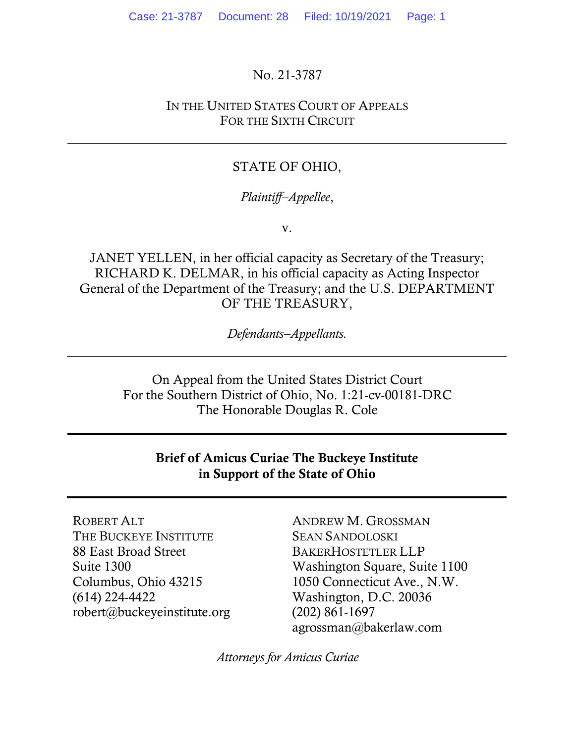No. 21-3787

IN THE UNITED STATES COURT OF APPEALS FOR THE SIXTH CIRCUIT

#### STATE OF OHIO,

#### *Plaintiff–Appellee*,

v.

JANET YELLEN, in her official capacity as Secretary of the Treasury; RICHARD K. DELMAR, in his official capacity as Acting Inspector General of the Department of the Treasury; and the U.S. DEPARTMENT OF THE TREASURY,

*Defendants–Appellants.*

On Appeal from the United States District Court For the Southern District of Ohio, No. 1:21-cv-00181-DRC The Honorable Douglas R. Cole

#### Brief of Amicus Curiae The Buckeye Institute in Support of the State of Ohio

ROBERT ALT THE BUCKEYE INSTITUTE 88 East Broad Street Suite 1300 Columbus, Ohio 43215 (614) 224-4422 robert@buckeyeinstitute.org

ANDREW M. GROSSMAN SEAN SANDOLOSKI BAKERHOSTETLER LLP Washington Square, Suite 1100 1050 Connecticut Ave., N.W. Washington, D.C. 20036 (202) 861-1697 agrossman@bakerlaw.com

*Attorneys for Amicus Curiae*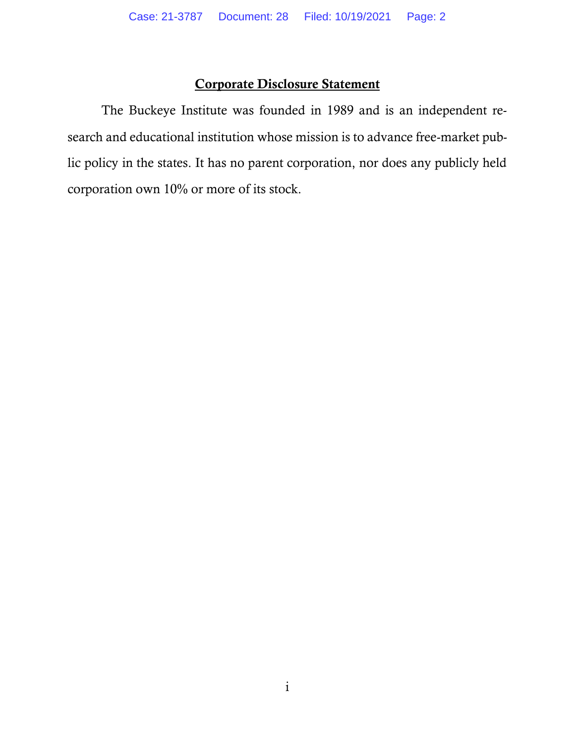## Corporate Disclosure Statement

The Buckeye Institute was founded in 1989 and is an independent research and educational institution whose mission is to advance free-market public policy in the states. It has no parent corporation, nor does any publicly held corporation own 10% or more of its stock.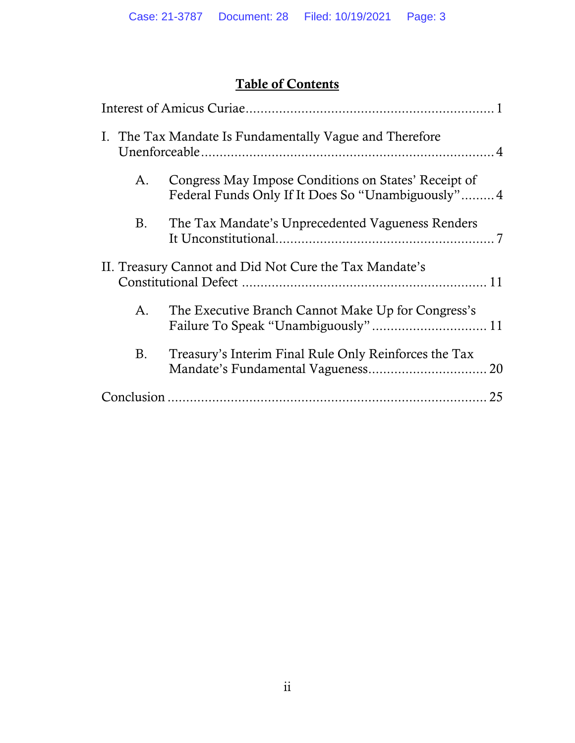# Table of Contents

|           | I. The Tax Mandate Is Fundamentally Vague and Therefore                                                   |
|-----------|-----------------------------------------------------------------------------------------------------------|
| A.        | Congress May Impose Conditions on States' Receipt of<br>Federal Funds Only If It Does So "Unambiguously"4 |
| <b>B.</b> | The Tax Mandate's Unprecedented Vagueness Renders                                                         |
|           | II. Treasury Cannot and Did Not Cure the Tax Mandate's                                                    |
| А.        | The Executive Branch Cannot Make Up for Congress's                                                        |
| <b>B.</b> | Treasury's Interim Final Rule Only Reinforces the Tax                                                     |
|           | 25                                                                                                        |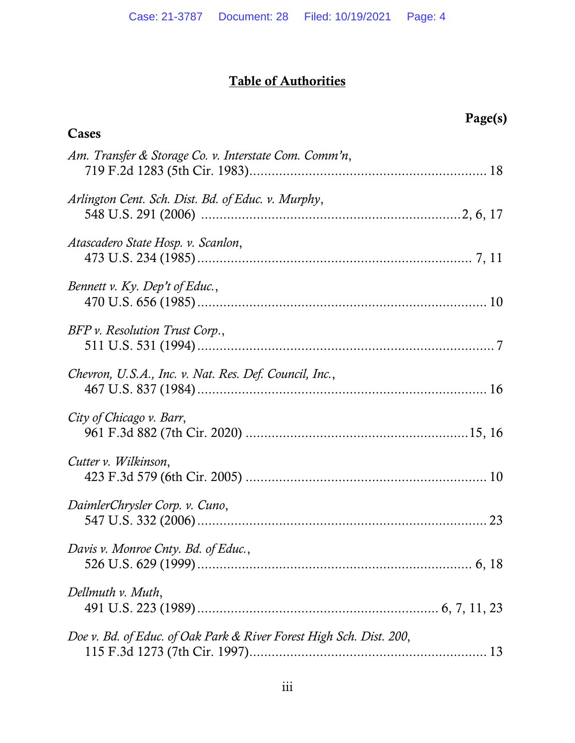# Table of Authorities

| Page(s)                                                             |
|---------------------------------------------------------------------|
| Cases                                                               |
| Am. Transfer & Storage Co. v. Interstate Com. Comm'n,               |
| Arlington Cent. Sch. Dist. Bd. of Educ. v. Murphy,                  |
| Atascadero State Hosp. v. Scanlon,                                  |
| Bennett v. Ky. Dep't of Educ.,                                      |
| BFP v. Resolution Trust Corp.,                                      |
| Chevron, U.S.A., Inc. v. Nat. Res. Def. Council, Inc.,              |
| City of Chicago v. Barr,                                            |
| Cutter v. Wilkinson,                                                |
| DaimlerChrysler Corp. v. Cuno,<br>23                                |
| Davis v. Monroe Cnty. Bd. of Educ.,                                 |
| Dellmuth v. Muth,                                                   |
| Doe v. Bd. of Educ. of Oak Park & River Forest High Sch. Dist. 200, |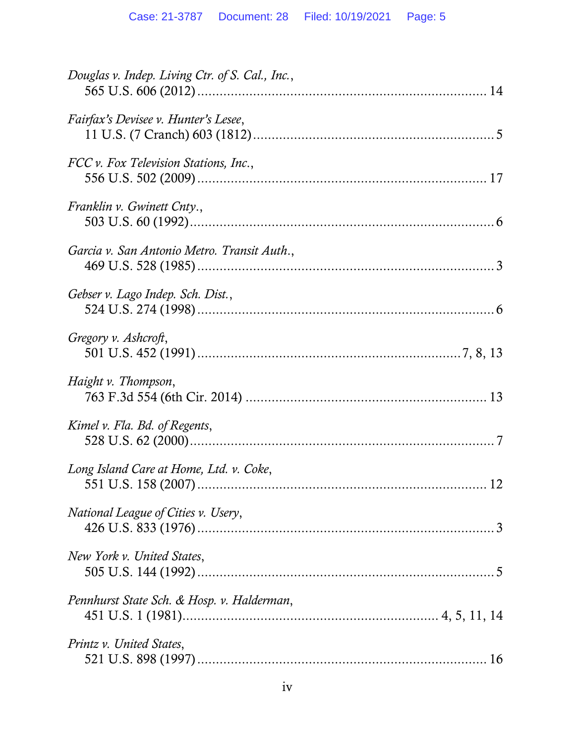| Douglas v. Indep. Living Ctr. of S. Cal., Inc., |
|-------------------------------------------------|
| Fairfax's Devisee v. Hunter's Lesee,            |
| FCC v. Fox Television Stations, Inc.,           |
| Franklin v. Gwinett Cnty.,                      |
| Garcia v. San Antonio Metro. Transit Auth.,     |
| Gebser v. Lago Indep. Sch. Dist.,               |
| Gregory v. Ashcroft,                            |
| Haight v. Thompson,                             |
| Kimel v. Fla. Bd. of Regents,                   |
| Long Island Care at Home, Ltd. v. Coke,         |
| National League of Cities v. Usery,             |
| New York v. United States,                      |
| Pennhurst State Sch. & Hosp. v. Halderman,      |
| Printz v. United States,                        |
|                                                 |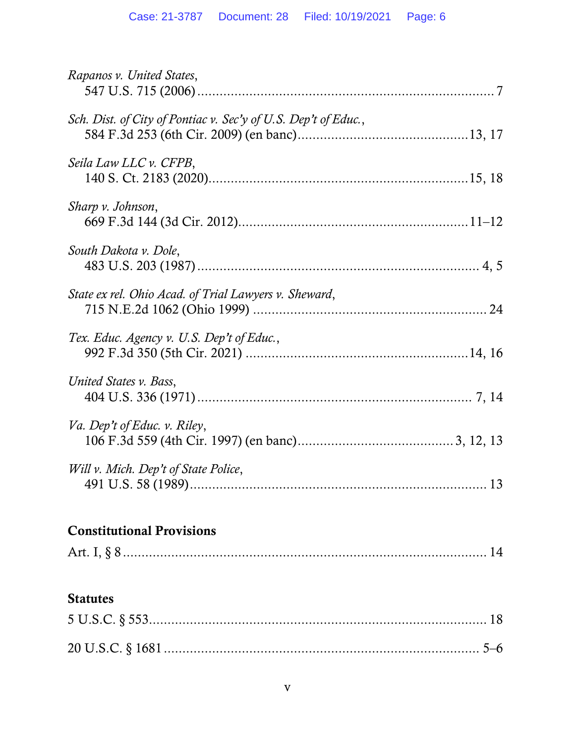| Rapanos v. United States,                                      |
|----------------------------------------------------------------|
| Sch. Dist. of City of Pontiac v. Sec'y of U.S. Dep't of Educ., |
| Seila Law LLC v. CFPB,                                         |
| Sharp v. Johnson,                                              |
| South Dakota v. Dole,                                          |
| State ex rel. Ohio Acad. of Trial Lawyers v. Sheward,          |
| Tex. Educ. Agency v. U.S. Dep't of Educ.,                      |
| United States v. Bass,                                         |
| Va. Dep't of Educ. v. Riley,                                   |
| Will v. Mich. Dep't of State Police,                           |
| <b>Constitutional Provisions</b>                               |
|                                                                |
| <b>Statutes</b>                                                |
|                                                                |
|                                                                |
|                                                                |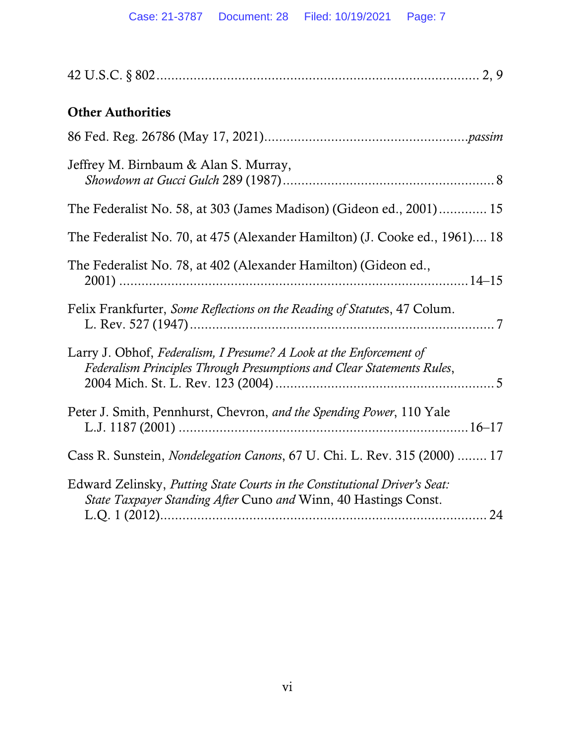| <b>Other Authorities</b><br>Jeffrey M. Birnbaum & Alan S. Murray,<br>The Federalist No. 58, at 303 (James Madison) (Gideon ed., 2001) 15<br>The Federalist No. 70, at 475 (Alexander Hamilton) (J. Cooke ed., 1961) 18<br>The Federalist No. 78, at 402 (Alexander Hamilton) (Gideon ed., |
|-------------------------------------------------------------------------------------------------------------------------------------------------------------------------------------------------------------------------------------------------------------------------------------------|
|                                                                                                                                                                                                                                                                                           |
|                                                                                                                                                                                                                                                                                           |
|                                                                                                                                                                                                                                                                                           |
|                                                                                                                                                                                                                                                                                           |
|                                                                                                                                                                                                                                                                                           |
|                                                                                                                                                                                                                                                                                           |
| Felix Frankfurter, Some Reflections on the Reading of Statutes, 47 Colum.                                                                                                                                                                                                                 |
| Larry J. Obhof, Federalism, I Presume? A Look at the Enforcement of<br>Federalism Principles Through Presumptions and Clear Statements Rules,                                                                                                                                             |
| Peter J. Smith, Pennhurst, Chevron, and the Spending Power, 110 Yale                                                                                                                                                                                                                      |
| Cass R. Sunstein, <i>Nondelegation Canons</i> , 67 U. Chi. L. Rev. 315 (2000)  17                                                                                                                                                                                                         |
| Edward Zelinsky, Putting State Courts in the Constitutional Driver's Seat:<br>State Taxpayer Standing After Cuno and Winn, 40 Hastings Const.                                                                                                                                             |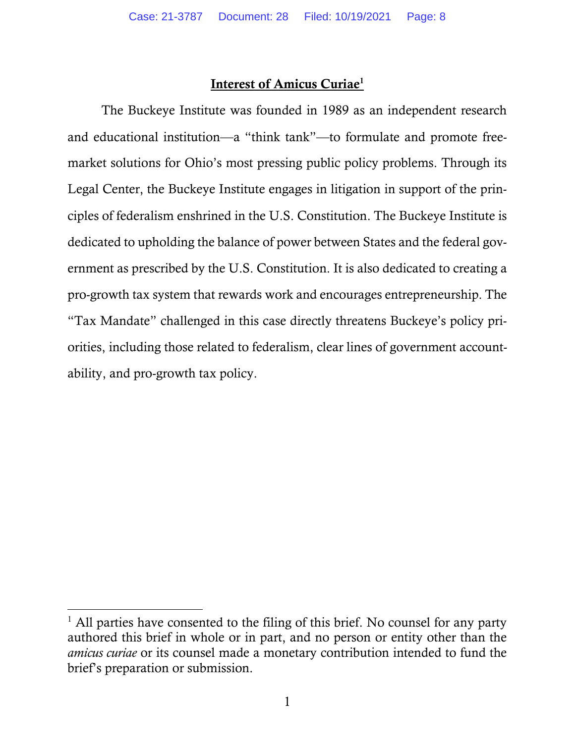#### Interest of Amicus Curiae<sup>1</sup>

The Buckeye Institute was founded in 1989 as an independent research and educational institution—a "think tank"—to formulate and promote freemarket solutions for Ohio's most pressing public policy problems. Through its Legal Center, the Buckeye Institute engages in litigation in support of the principles of federalism enshrined in the U.S. Constitution. The Buckeye Institute is dedicated to upholding the balance of power between States and the federal government as prescribed by the U.S. Constitution. It is also dedicated to creating a pro-growth tax system that rewards work and encourages entrepreneurship. The "Tax Mandate" challenged in this case directly threatens Buckeye's policy priorities, including those related to federalism, clear lines of government accountability, and pro-growth tax policy.

 $<sup>1</sup>$  All parties have consented to the filing of this brief. No counsel for any party</sup> authored this brief in whole or in part, and no person or entity other than the *amicus curiae* or its counsel made a monetary contribution intended to fund the brief's preparation or submission.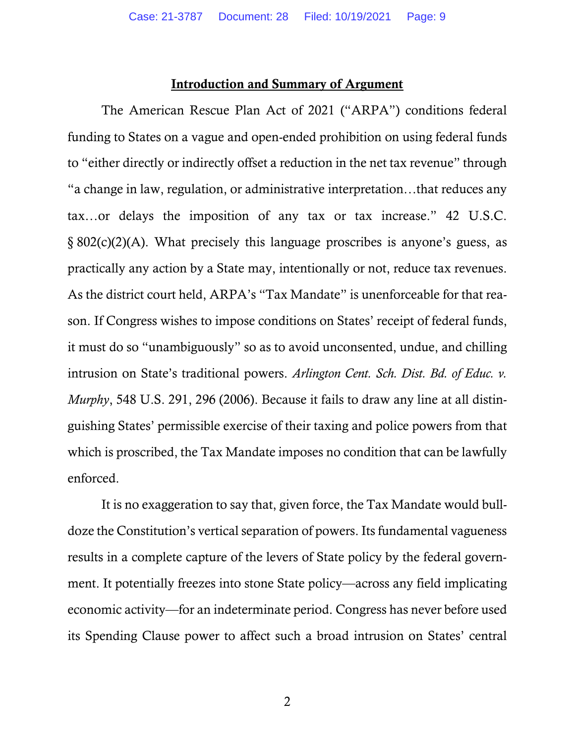#### Introduction and Summary of Argument

The American Rescue Plan Act of 2021 ("ARPA") conditions federal funding to States on a vague and open-ended prohibition on using federal funds to "either directly or indirectly offset a reduction in the net tax revenue" through "a change in law, regulation, or administrative interpretation…that reduces any tax…or delays the imposition of any tax or tax increase." 42 U.S.C. § 802(c)(2)(A). What precisely this language proscribes is anyone's guess, as practically any action by a State may, intentionally or not, reduce tax revenues. As the district court held, ARPA's "Tax Mandate" is unenforceable for that reason. If Congress wishes to impose conditions on States' receipt of federal funds, it must do so "unambiguously" so as to avoid unconsented, undue, and chilling intrusion on State's traditional powers. *Arlington Cent. Sch. Dist. Bd. of Educ. v. Murphy*, 548 U.S. 291, 296 (2006). Because it fails to draw any line at all distinguishing States' permissible exercise of their taxing and police powers from that which is proscribed, the Tax Mandate imposes no condition that can be lawfully enforced.

It is no exaggeration to say that, given force, the Tax Mandate would bulldoze the Constitution's vertical separation of powers. Its fundamental vagueness results in a complete capture of the levers of State policy by the federal government. It potentially freezes into stone State policy—across any field implicating economic activity—for an indeterminate period. Congress has never before used its Spending Clause power to affect such a broad intrusion on States' central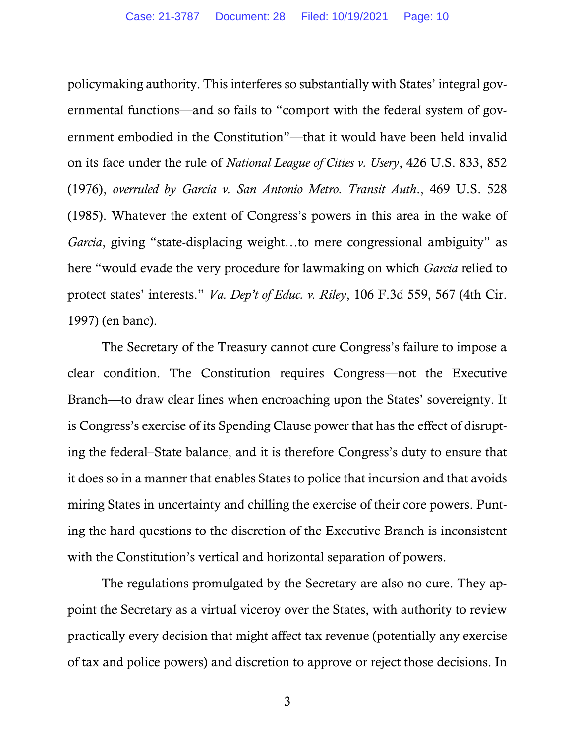policymaking authority. This interferes so substantially with States' integral governmental functions—and so fails to "comport with the federal system of government embodied in the Constitution"—that it would have been held invalid on its face under the rule of *National League of Cities v. Usery*, 426 U.S. 833, 852 (1976), *overruled by Garcia v. San Antonio Metro. Transit Auth*., 469 U.S. 528 (1985). Whatever the extent of Congress's powers in this area in the wake of *Garcia*, giving "state-displacing weight…to mere congressional ambiguity" as here "would evade the very procedure for lawmaking on which *Garcia* relied to protect states' interests." *Va. Dep't of Educ. v. Riley*, 106 F.3d 559, 567 (4th Cir. 1997) (en banc).

The Secretary of the Treasury cannot cure Congress's failure to impose a clear condition. The Constitution requires Congress—not the Executive Branch—to draw clear lines when encroaching upon the States' sovereignty. It is Congress's exercise of its Spending Clause power that has the effect of disrupting the federal–State balance, and it is therefore Congress's duty to ensure that it does so in a manner that enables States to police that incursion and that avoids miring States in uncertainty and chilling the exercise of their core powers. Punting the hard questions to the discretion of the Executive Branch is inconsistent with the Constitution's vertical and horizontal separation of powers.

The regulations promulgated by the Secretary are also no cure. They appoint the Secretary as a virtual viceroy over the States, with authority to review practically every decision that might affect tax revenue (potentially any exercise of tax and police powers) and discretion to approve or reject those decisions. In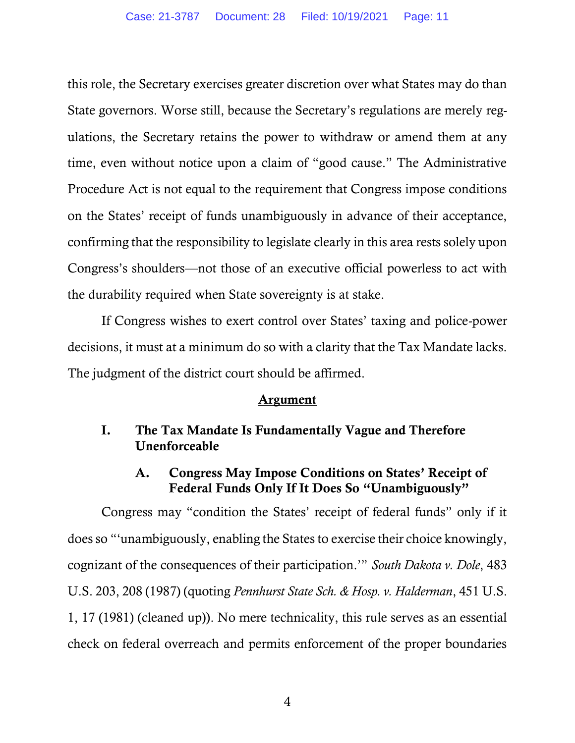this role, the Secretary exercises greater discretion over what States may do than State governors. Worse still, because the Secretary's regulations are merely regulations, the Secretary retains the power to withdraw or amend them at any time, even without notice upon a claim of "good cause." The Administrative Procedure Act is not equal to the requirement that Congress impose conditions on the States' receipt of funds unambiguously in advance of their acceptance, confirming that the responsibility to legislate clearly in this area rests solely upon Congress's shoulders—not those of an executive official powerless to act with the durability required when State sovereignty is at stake.

If Congress wishes to exert control over States' taxing and police-power decisions, it must at a minimum do so with a clarity that the Tax Mandate lacks. The judgment of the district court should be affirmed.

#### Argument

## I. The Tax Mandate Is Fundamentally Vague and Therefore Unenforceable

## A. Congress May Impose Conditions on States' Receipt of Federal Funds Only If It Does So "Unambiguously"

Congress may "condition the States' receipt of federal funds" only if it does so "'unambiguously, enabling the States to exercise their choice knowingly, cognizant of the consequences of their participation.'" *South Dakota v. Dole*, 483 U.S. 203, 208 (1987) (quoting *Pennhurst State Sch. & Hosp. v. Halderman*, 451 U.S. 1, 17 (1981) (cleaned up)). No mere technicality, this rule serves as an essential check on federal overreach and permits enforcement of the proper boundaries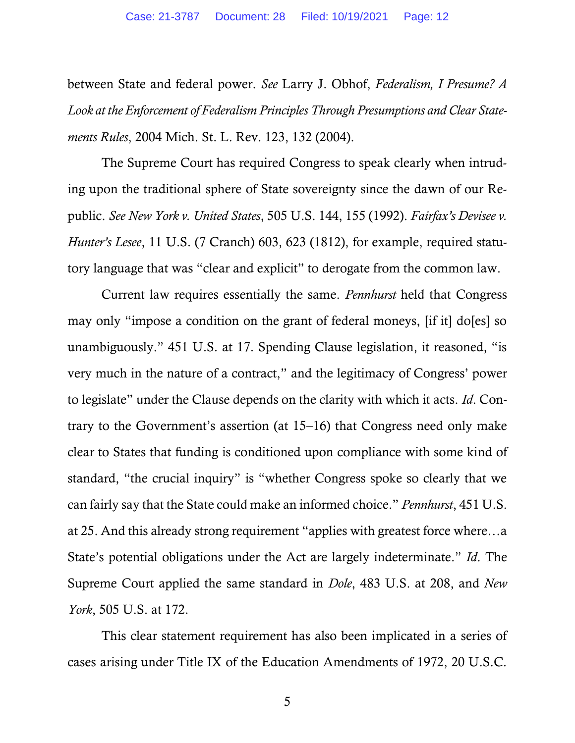between State and federal power. *See* Larry J. Obhof, *Federalism, I Presume? A Look at the Enforcement of Federalism Principles Through Presumptions and Clear Statements Rules*, 2004 Mich. St. L. Rev. 123, 132 (2004).

The Supreme Court has required Congress to speak clearly when intruding upon the traditional sphere of State sovereignty since the dawn of our Republic. *See New York v. United States*, 505 U.S. 144, 155 (1992). *Fairfax's Devisee v. Hunter's Lesee*, 11 U.S. (7 Cranch) 603, 623 (1812), for example, required statutory language that was "clear and explicit" to derogate from the common law.

Current law requires essentially the same. *Pennhurst* held that Congress may only "impose a condition on the grant of federal moneys, [if it] do[es] so unambiguously." 451 U.S. at 17. Spending Clause legislation, it reasoned, "is very much in the nature of a contract," and the legitimacy of Congress' power to legislate" under the Clause depends on the clarity with which it acts. *Id*. Contrary to the Government's assertion (at 15–16) that Congress need only make clear to States that funding is conditioned upon compliance with some kind of standard, "the crucial inquiry" is "whether Congress spoke so clearly that we can fairly say that the State could make an informed choice." *Pennhurst*, 451 U.S. at 25. And this already strong requirement "applies with greatest force where…a State's potential obligations under the Act are largely indeterminate." *Id*. The Supreme Court applied the same standard in *Dole*, 483 U.S. at 208, and *New York*, 505 U.S. at 172.

This clear statement requirement has also been implicated in a series of cases arising under Title IX of the Education Amendments of 1972, 20 U.S.C.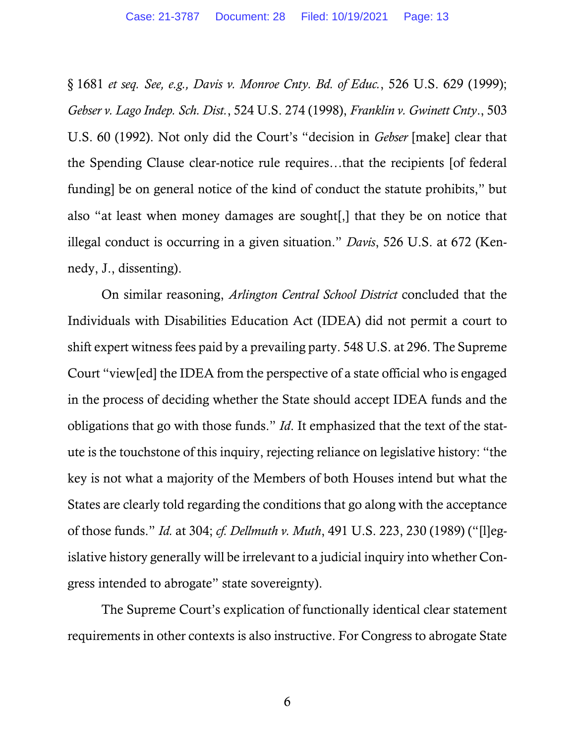§ 1681 *et seq. See, e.g., Davis v. Monroe Cnty. Bd. of Educ.*, 526 U.S. 629 (1999); *Gebser v. Lago Indep. Sch. Dist.*, 524 U.S. 274 (1998), *Franklin v. Gwinett Cnty*., 503 U.S. 60 (1992). Not only did the Court's "decision in *Gebser* [make] clear that the Spending Clause clear-notice rule requires…that the recipients [of federal funding] be on general notice of the kind of conduct the statute prohibits," but also "at least when money damages are sought[,] that they be on notice that illegal conduct is occurring in a given situation." *Davis*, 526 U.S. at 672 (Kennedy, J., dissenting).

On similar reasoning, *Arlington Central School District* concluded that the Individuals with Disabilities Education Act (IDEA) did not permit a court to shift expert witness fees paid by a prevailing party. 548 U.S. at 296. The Supreme Court "view[ed] the IDEA from the perspective of a state official who is engaged in the process of deciding whether the State should accept IDEA funds and the obligations that go with those funds." *Id*. It emphasized that the text of the statute is the touchstone of this inquiry, rejecting reliance on legislative history: "the key is not what a majority of the Members of both Houses intend but what the States are clearly told regarding the conditions that go along with the acceptance of those funds." *Id.* at 304; *cf. Dellmuth v. Muth*, 491 U.S. 223, 230 (1989) ("[l]egislative history generally will be irrelevant to a judicial inquiry into whether Congress intended to abrogate" state sovereignty).

The Supreme Court's explication of functionally identical clear statement requirements in other contexts is also instructive. For Congress to abrogate State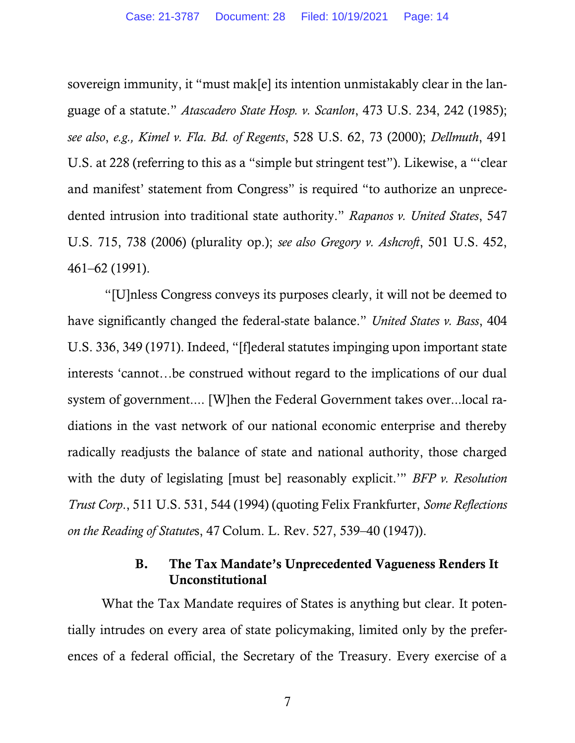sovereign immunity, it "must mak[e] its intention unmistakably clear in the language of a statute." *Atascadero State Hosp. v. Scanlon*, 473 U.S. 234, 242 (1985); *see also*, *e.g., Kimel v. Fla. Bd. of Regents*, 528 U.S. 62, 73 (2000); *Dellmuth*, 491 U.S. at 228 (referring to this as a "simple but stringent test"). Likewise, a "'clear and manifest' statement from Congress" is required "to authorize an unprecedented intrusion into traditional state authority." *Rapanos v. United States*, 547 U.S. 715, 738 (2006) (plurality op.); *see also Gregory v. Ashcroft*, 501 U.S. 452, 461–62 (1991).

"[U]nless Congress conveys its purposes clearly, it will not be deemed to have significantly changed the federal-state balance." *United States v. Bass*, 404 U.S. 336, 349 (1971). Indeed, "[f]ederal statutes impinging upon important state interests 'cannot…be construed without regard to the implications of our dual system of government.... [W]hen the Federal Government takes over...local radiations in the vast network of our national economic enterprise and thereby radically readjusts the balance of state and national authority, those charged with the duty of legislating [must be] reasonably explicit.'" *BFP v. Resolution Trust Corp*., 511 U.S. 531, 544 (1994) (quoting Felix Frankfurter, *Some Reflections on the Reading of Statute*s, 47 Colum. L. Rev. 527, 539–40 (1947)).

### B. The Tax Mandate's Unprecedented Vagueness Renders It Unconstitutional

What the Tax Mandate requires of States is anything but clear. It potentially intrudes on every area of state policymaking, limited only by the preferences of a federal official, the Secretary of the Treasury. Every exercise of a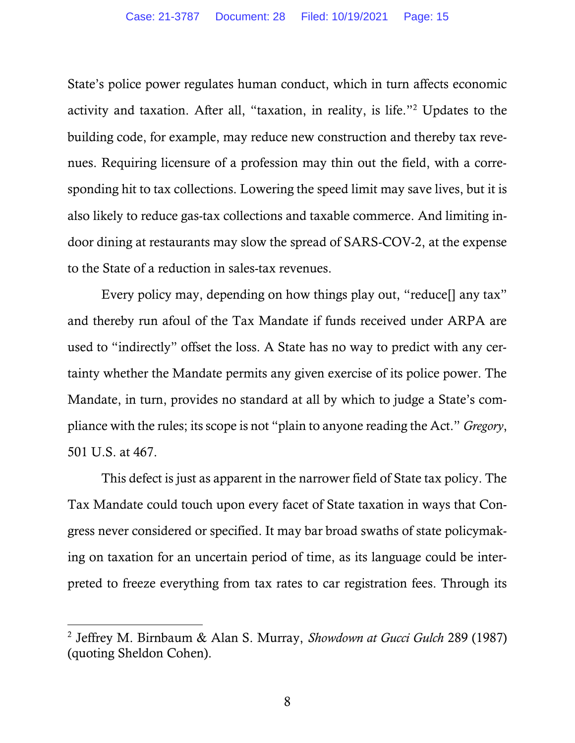State's police power regulates human conduct, which in turn affects economic activity and taxation. After all, "taxation, in reality, is life."<sup>2</sup> Updates to the building code, for example, may reduce new construction and thereby tax revenues. Requiring licensure of a profession may thin out the field, with a corresponding hit to tax collections. Lowering the speed limit may save lives, but it is also likely to reduce gas-tax collections and taxable commerce. And limiting indoor dining at restaurants may slow the spread of SARS-COV-2, at the expense to the State of a reduction in sales-tax revenues.

Every policy may, depending on how things play out, "reduce[] any tax" and thereby run afoul of the Tax Mandate if funds received under ARPA are used to "indirectly" offset the loss. A State has no way to predict with any certainty whether the Mandate permits any given exercise of its police power. The Mandate, in turn, provides no standard at all by which to judge a State's compliance with the rules; its scope is not "plain to anyone reading the Act." *Gregory*, 501 U.S. at 467.

This defect is just as apparent in the narrower field of State tax policy. The Tax Mandate could touch upon every facet of State taxation in ways that Congress never considered or specified. It may bar broad swaths of state policymaking on taxation for an uncertain period of time, as its language could be interpreted to freeze everything from tax rates to car registration fees. Through its

<sup>2</sup> Jeffrey M. Birnbaum & Alan S. Murray, *Showdown at Gucci Gulch* 289 (1987) (quoting Sheldon Cohen).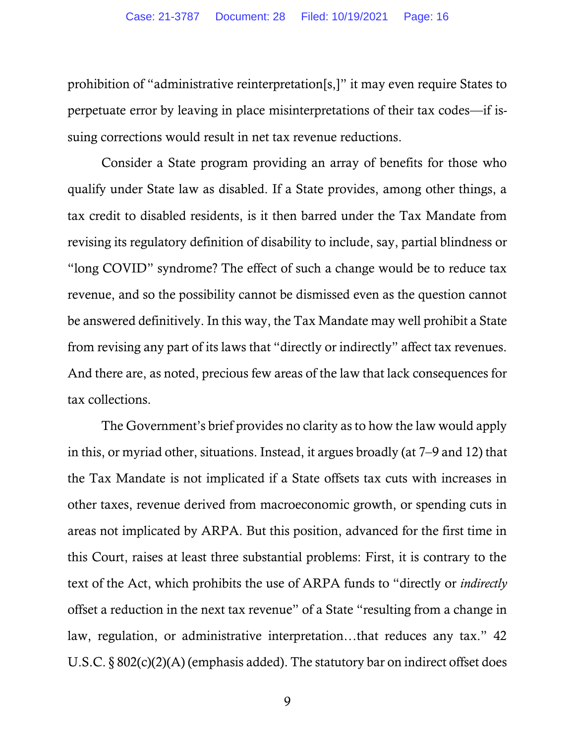prohibition of "administrative reinterpretation[s,]" it may even require States to perpetuate error by leaving in place misinterpretations of their tax codes—if issuing corrections would result in net tax revenue reductions.

Consider a State program providing an array of benefits for those who qualify under State law as disabled. If a State provides, among other things, a tax credit to disabled residents, is it then barred under the Tax Mandate from revising its regulatory definition of disability to include, say, partial blindness or "long COVID" syndrome? The effect of such a change would be to reduce tax revenue, and so the possibility cannot be dismissed even as the question cannot be answered definitively. In this way, the Tax Mandate may well prohibit a State from revising any part of its laws that "directly or indirectly" affect tax revenues. And there are, as noted, precious few areas of the law that lack consequences for tax collections.

The Government's brief provides no clarity as to how the law would apply in this, or myriad other, situations. Instead, it argues broadly (at 7–9 and 12) that the Tax Mandate is not implicated if a State offsets tax cuts with increases in other taxes, revenue derived from macroeconomic growth, or spending cuts in areas not implicated by ARPA. But this position, advanced for the first time in this Court, raises at least three substantial problems: First, it is contrary to the text of the Act, which prohibits the use of ARPA funds to "directly or *indirectly* offset a reduction in the next tax revenue" of a State "resulting from a change in law, regulation, or administrative interpretation…that reduces any tax." 42 U.S.C. § 802(c)(2)(A) (emphasis added). The statutory bar on indirect offset does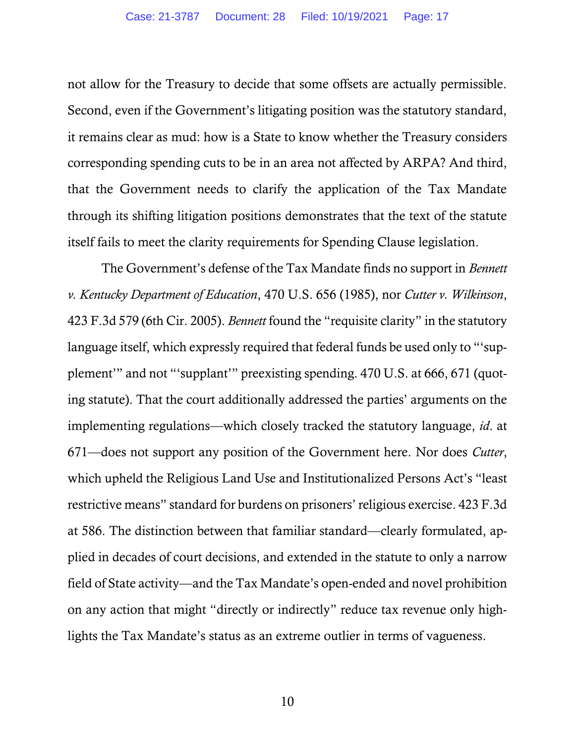not allow for the Treasury to decide that some offsets are actually permissible. Second, even if the Government's litigating position was the statutory standard, it remains clear as mud: how is a State to know whether the Treasury considers corresponding spending cuts to be in an area not affected by ARPA? And third, that the Government needs to clarify the application of the Tax Mandate through its shifting litigation positions demonstrates that the text of the statute itself fails to meet the clarity requirements for Spending Clause legislation.

The Government's defense of the Tax Mandate finds no support in *Bennett v. Kentucky Department of Education*, 470 U.S. 656 (1985), nor *Cutter v. Wilkinson*, 423 F.3d 579 (6th Cir. 2005). *Bennett* found the "requisite clarity" in the statutory language itself, which expressly required that federal funds be used only to "'supplement'" and not "'supplant'" preexisting spending. 470 U.S. at 666, 671 (quoting statute). That the court additionally addressed the parties' arguments on the implementing regulations—which closely tracked the statutory language, *id*. at 671—does not support any position of the Government here. Nor does *Cutter*, which upheld the Religious Land Use and Institutionalized Persons Act's "least restrictive means" standard for burdens on prisoners' religious exercise. 423 F.3d at 586. The distinction between that familiar standard—clearly formulated, applied in decades of court decisions, and extended in the statute to only a narrow field of State activity—and the Tax Mandate's open-ended and novel prohibition on any action that might "directly or indirectly" reduce tax revenue only highlights the Tax Mandate's status as an extreme outlier in terms of vagueness.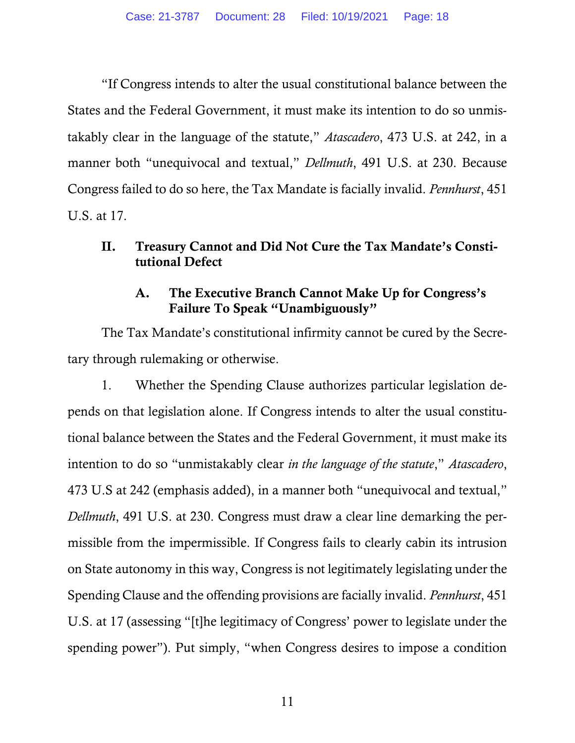"If Congress intends to alter the usual constitutional balance between the States and the Federal Government, it must make its intention to do so unmistakably clear in the language of the statute," *Atascadero*, 473 U.S. at 242, in a manner both "unequivocal and textual," *Dellmuth*, 491 U.S. at 230. Because Congress failed to do so here, the Tax Mandate is facially invalid. *Pennhurst*, 451 U.S. at 17.

# II. Treasury Cannot and Did Not Cure the Tax Mandate's Constitutional Defect

# A. The Executive Branch Cannot Make Up for Congress's Failure To Speak "Unambiguously"

The Tax Mandate's constitutional infirmity cannot be cured by the Secretary through rulemaking or otherwise.

1. Whether the Spending Clause authorizes particular legislation depends on that legislation alone. If Congress intends to alter the usual constitutional balance between the States and the Federal Government, it must make its intention to do so "unmistakably clear *in the language of the statute*," *Atascadero*, 473 U.S at 242 (emphasis added), in a manner both "unequivocal and textual," *Dellmuth*, 491 U.S. at 230. Congress must draw a clear line demarking the permissible from the impermissible. If Congress fails to clearly cabin its intrusion on State autonomy in this way, Congress is not legitimately legislating under the Spending Clause and the offending provisions are facially invalid. *Pennhurst*, 451 U.S. at 17 (assessing "[t]he legitimacy of Congress' power to legislate under the spending power"). Put simply, "when Congress desires to impose a condition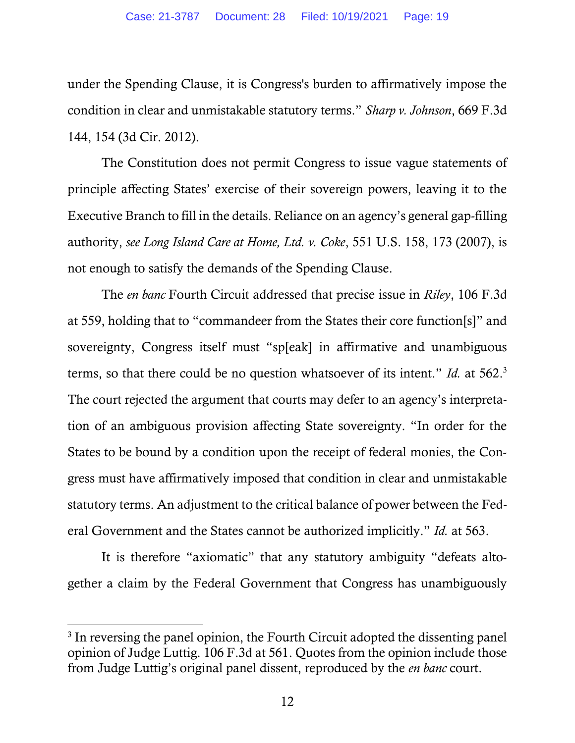under the Spending Clause, it is Congress's burden to affirmatively impose the condition in clear and unmistakable statutory terms." *Sharp v. Johnson*, 669 F.3d 144, 154 (3d Cir. 2012).

The Constitution does not permit Congress to issue vague statements of principle affecting States' exercise of their sovereign powers, leaving it to the Executive Branch to fill in the details. Reliance on an agency's general gap-filling authority, *see Long Island Care at Home, Ltd. v. Coke*, 551 U.S. 158, 173 (2007), is not enough to satisfy the demands of the Spending Clause.

The *en banc* Fourth Circuit addressed that precise issue in *Riley*, 106 F.3d at 559, holding that to "commandeer from the States their core function[s]" and sovereignty, Congress itself must "sp[eak] in affirmative and unambiguous terms, so that there could be no question whatsoever of its intent." *Id.* at 562.<sup>3</sup> The court rejected the argument that courts may defer to an agency's interpretation of an ambiguous provision affecting State sovereignty. "In order for the States to be bound by a condition upon the receipt of federal monies, the Congress must have affirmatively imposed that condition in clear and unmistakable statutory terms. An adjustment to the critical balance of power between the Federal Government and the States cannot be authorized implicitly." *Id.* at 563.

It is therefore "axiomatic" that any statutory ambiguity "defeats altogether a claim by the Federal Government that Congress has unambiguously

<sup>&</sup>lt;sup>3</sup> In reversing the panel opinion, the Fourth Circuit adopted the dissenting panel opinion of Judge Luttig. 106 F.3d at 561. Quotes from the opinion include those from Judge Luttig's original panel dissent, reproduced by the *en banc* court.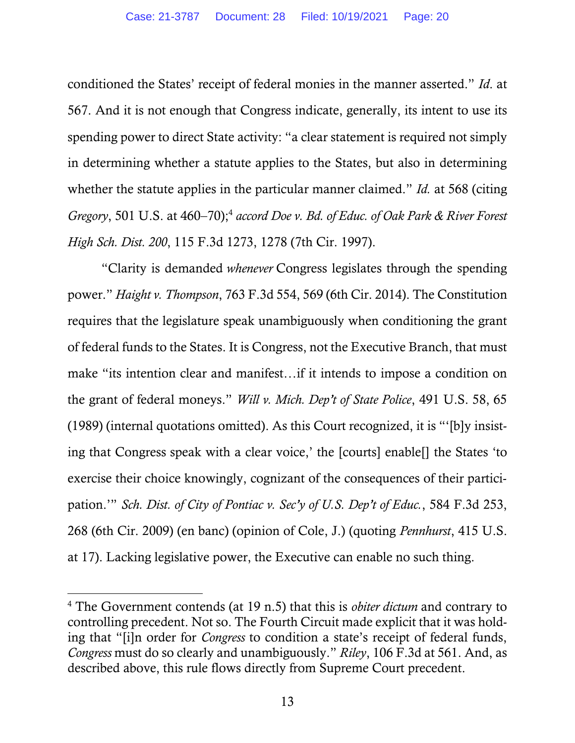conditioned the States' receipt of federal monies in the manner asserted." *Id*. at 567. And it is not enough that Congress indicate, generally, its intent to use its spending power to direct State activity: "a clear statement is required not simply in determining whether a statute applies to the States, but also in determining whether the statute applies in the particular manner claimed." *Id.* at 568 (citing Gregory, 501 U.S. at 460–70);<sup>4</sup> accord Doe v. Bd. of Educ. of Oak Park & River Forest *High Sch. Dist. 200*, 115 F.3d 1273, 1278 (7th Cir. 1997).

"Clarity is demanded *whenever* Congress legislates through the spending power." *Haight v. Thompson*, 763 F.3d 554, 569 (6th Cir. 2014). The Constitution requires that the legislature speak unambiguously when conditioning the grant of federal funds to the States. It is Congress, not the Executive Branch, that must make "its intention clear and manifest…if it intends to impose a condition on the grant of federal moneys." *Will v. Mich. Dep't of State Police*, 491 U.S. 58, 65 (1989) (internal quotations omitted). As this Court recognized, it is "'[b]y insisting that Congress speak with a clear voice,' the [courts] enable[] the States 'to exercise their choice knowingly, cognizant of the consequences of their participation.'" *Sch. Dist. of City of Pontiac v. Sec'y of U.S. Dep't of Educ.*, 584 F.3d 253, 268 (6th Cir. 2009) (en banc) (opinion of Cole, J.) (quoting *Pennhurst*, 415 U.S. at 17). Lacking legislative power, the Executive can enable no such thing.

<sup>4</sup> The Government contends (at 19 n.5) that this is *obiter dictum* and contrary to controlling precedent. Not so. The Fourth Circuit made explicit that it was holding that "[i]n order for *Congress* to condition a state's receipt of federal funds, *Congress* must do so clearly and unambiguously." *Riley*, 106 F.3d at 561. And, as described above, this rule flows directly from Supreme Court precedent.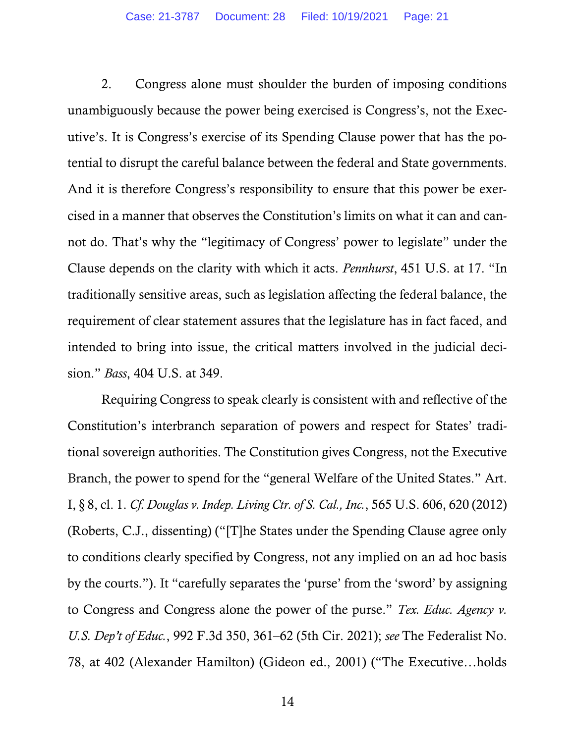2. Congress alone must shoulder the burden of imposing conditions unambiguously because the power being exercised is Congress's, not the Executive's. It is Congress's exercise of its Spending Clause power that has the potential to disrupt the careful balance between the federal and State governments. And it is therefore Congress's responsibility to ensure that this power be exercised in a manner that observes the Constitution's limits on what it can and cannot do. That's why the "legitimacy of Congress' power to legislate" under the Clause depends on the clarity with which it acts. *Pennhurst*, 451 U.S. at 17. "In traditionally sensitive areas, such as legislation affecting the federal balance, the requirement of clear statement assures that the legislature has in fact faced, and intended to bring into issue, the critical matters involved in the judicial decision." *Bass*, 404 U.S. at 349.

Requiring Congress to speak clearly is consistent with and reflective of the Constitution's interbranch separation of powers and respect for States' traditional sovereign authorities. The Constitution gives Congress, not the Executive Branch, the power to spend for the "general Welfare of the United States." Art. I, § 8, cl. 1. *Cf. Douglas v. Indep. Living Ctr. of S. Cal., Inc.*, 565 U.S. 606, 620 (2012) (Roberts, C.J., dissenting) ("[T]he States under the Spending Clause agree only to conditions clearly specified by Congress, not any implied on an ad hoc basis by the courts."). It "carefully separates the 'purse' from the 'sword' by assigning to Congress and Congress alone the power of the purse." *Tex. Educ. Agency v. U.S. Dep't of Educ.*, 992 F.3d 350, 361–62 (5th Cir. 2021); *see* The Federalist No. 78, at 402 (Alexander Hamilton) (Gideon ed., 2001) ("The Executive…holds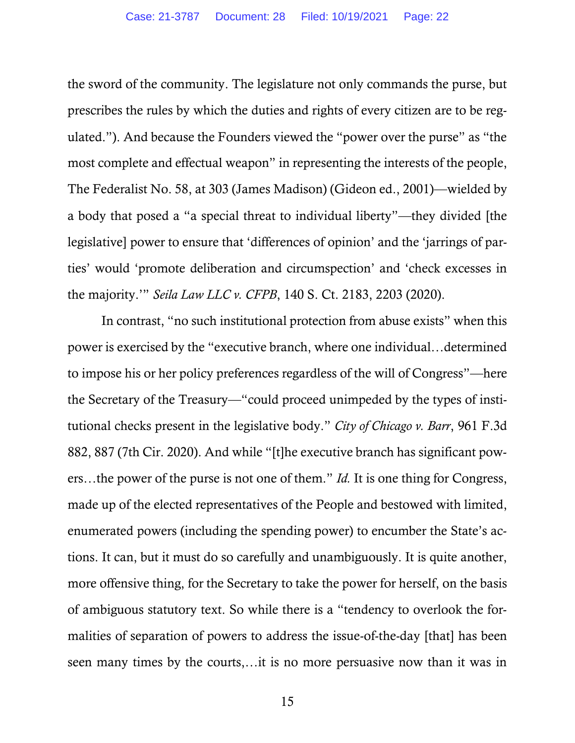the sword of the community. The legislature not only commands the purse, but prescribes the rules by which the duties and rights of every citizen are to be regulated."). And because the Founders viewed the "power over the purse" as "the most complete and effectual weapon" in representing the interests of the people, The Federalist No. 58, at 303 (James Madison) (Gideon ed., 2001)—wielded by a body that posed a "a special threat to individual liberty"—they divided [the legislative] power to ensure that 'differences of opinion' and the 'jarrings of parties' would 'promote deliberation and circumspection' and 'check excesses in the majority.'" *Seila Law LLC v. CFPB*, 140 S. Ct. 2183, 2203 (2020).

In contrast, "no such institutional protection from abuse exists" when this power is exercised by the "executive branch, where one individual…determined to impose his or her policy preferences regardless of the will of Congress"—here the Secretary of the Treasury—"could proceed unimpeded by the types of institutional checks present in the legislative body." *City of Chicago v. Barr*, 961 F.3d 882, 887 (7th Cir. 2020). And while "[t]he executive branch has significant powers…the power of the purse is not one of them." *Id.* It is one thing for Congress, made up of the elected representatives of the People and bestowed with limited, enumerated powers (including the spending power) to encumber the State's actions. It can, but it must do so carefully and unambiguously. It is quite another, more offensive thing, for the Secretary to take the power for herself, on the basis of ambiguous statutory text. So while there is a "tendency to overlook the formalities of separation of powers to address the issue-of-the-day [that] has been seen many times by the courts,…it is no more persuasive now than it was in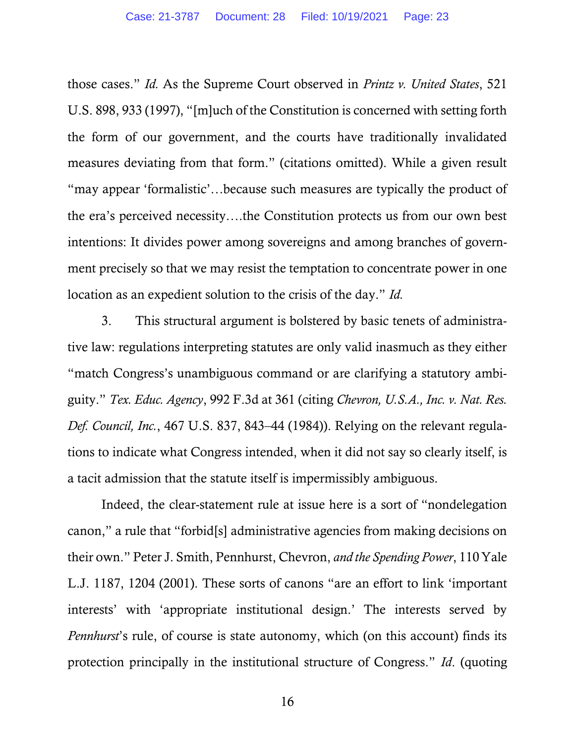those cases." *Id.* As the Supreme Court observed in *Printz v. United States*, 521 U.S. 898, 933 (1997), "[m]uch of the Constitution is concerned with setting forth the form of our government, and the courts have traditionally invalidated measures deviating from that form." (citations omitted). While a given result "may appear 'formalistic'…because such measures are typically the product of the era's perceived necessity….the Constitution protects us from our own best intentions: It divides power among sovereigns and among branches of government precisely so that we may resist the temptation to concentrate power in one location as an expedient solution to the crisis of the day." *Id.*

3. This structural argument is bolstered by basic tenets of administrative law: regulations interpreting statutes are only valid inasmuch as they either "match Congress's unambiguous command or are clarifying a statutory ambiguity." *Tex. Educ. Agency*, 992 F.3d at 361 (citing *Chevron, U.S.A., Inc. v. Nat. Res. Def. Council, Inc.*, 467 U.S. 837, 843–44 (1984)). Relying on the relevant regulations to indicate what Congress intended, when it did not say so clearly itself, is a tacit admission that the statute itself is impermissibly ambiguous.

Indeed, the clear-statement rule at issue here is a sort of "nondelegation canon," a rule that "forbid[s] administrative agencies from making decisions on their own." Peter J. Smith, Pennhurst, Chevron, *and the Spending Power*, 110 Yale L.J. 1187, 1204 (2001). These sorts of canons "are an effort to link 'important interests' with 'appropriate institutional design.' The interests served by *Pennhurst*'s rule, of course is state autonomy, which (on this account) finds its protection principally in the institutional structure of Congress." *Id*. (quoting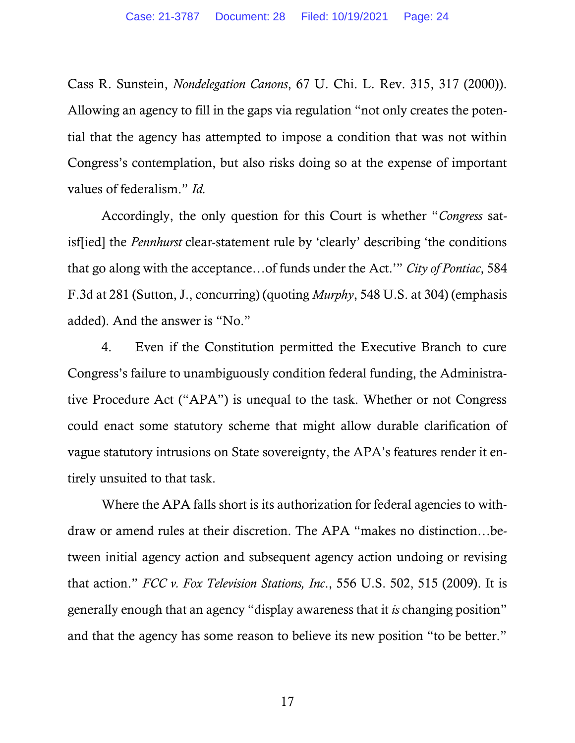Cass R. Sunstein, *Nondelegation Canons*, 67 U. Chi. L. Rev. 315, 317 (2000)). Allowing an agency to fill in the gaps via regulation "not only creates the potential that the agency has attempted to impose a condition that was not within Congress's contemplation, but also risks doing so at the expense of important values of federalism." *Id.*

Accordingly, the only question for this Court is whether "*Congress* satisf[ied] the *Pennhurst* clear-statement rule by 'clearly' describing 'the conditions that go along with the acceptance…of funds under the Act.'" *City of Pontiac*, 584 F.3d at 281 (Sutton, J., concurring) (quoting *Murphy*, 548 U.S. at 304) (emphasis added). And the answer is "No."

4. Even if the Constitution permitted the Executive Branch to cure Congress's failure to unambiguously condition federal funding, the Administrative Procedure Act ("APA") is unequal to the task. Whether or not Congress could enact some statutory scheme that might allow durable clarification of vague statutory intrusions on State sovereignty, the APA's features render it entirely unsuited to that task.

Where the APA falls short is its authorization for federal agencies to withdraw or amend rules at their discretion. The APA "makes no distinction…between initial agency action and subsequent agency action undoing or revising that action." *FCC v. Fox Television Stations, Inc*., 556 U.S. 502, 515 (2009). It is generally enough that an agency "display awareness that it *is* changing position" and that the agency has some reason to believe its new position "to be better."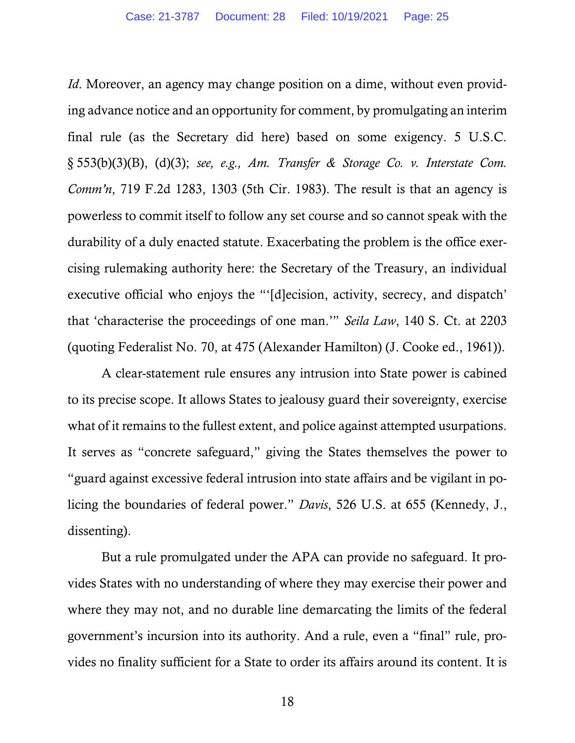*Id*. Moreover, an agency may change position on a dime, without even providing advance notice and an opportunity for comment, by promulgating an interim final rule (as the Secretary did here) based on some exigency. 5 U.S.C. § 553(b)(3)(B), (d)(3); *see, e.g., Am. Transfer & Storage Co. v. Interstate Com. Comm'n*, 719 F.2d 1283, 1303 (5th Cir. 1983). The result is that an agency is powerless to commit itself to follow any set course and so cannot speak with the durability of a duly enacted statute. Exacerbating the problem is the office exercising rulemaking authority here: the Secretary of the Treasury, an individual executive official who enjoys the "'[d]ecision, activity, secrecy, and dispatch' that 'characterise the proceedings of one man.'" *Seila Law*, 140 S. Ct. at 2203 (quoting Federalist No. 70, at 475 (Alexander Hamilton) (J. Cooke ed., 1961)).

A clear-statement rule ensures any intrusion into State power is cabined to its precise scope. It allows States to jealousy guard their sovereignty, exercise what of it remains to the fullest extent, and police against attempted usurpations. It serves as "concrete safeguard," giving the States themselves the power to "guard against excessive federal intrusion into state affairs and be vigilant in policing the boundaries of federal power." *Davis*, 526 U.S. at 655 (Kennedy, J., dissenting).

But a rule promulgated under the APA can provide no safeguard. It provides States with no understanding of where they may exercise their power and where they may not, and no durable line demarcating the limits of the federal government's incursion into its authority. And a rule, even a "final" rule, provides no finality sufficient for a State to order its affairs around its content. It is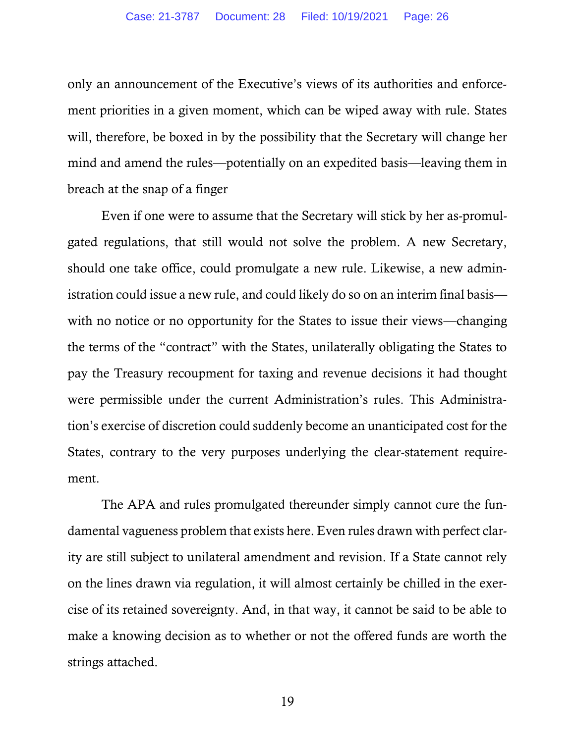only an announcement of the Executive's views of its authorities and enforcement priorities in a given moment, which can be wiped away with rule. States will, therefore, be boxed in by the possibility that the Secretary will change her mind and amend the rules—potentially on an expedited basis—leaving them in breach at the snap of a finger

Even if one were to assume that the Secretary will stick by her as-promulgated regulations, that still would not solve the problem. A new Secretary, should one take office, could promulgate a new rule. Likewise, a new administration could issue a new rule, and could likely do so on an interim final basis with no notice or no opportunity for the States to issue their views—changing the terms of the "contract" with the States, unilaterally obligating the States to pay the Treasury recoupment for taxing and revenue decisions it had thought were permissible under the current Administration's rules. This Administration's exercise of discretion could suddenly become an unanticipated cost for the States, contrary to the very purposes underlying the clear-statement requirement.

The APA and rules promulgated thereunder simply cannot cure the fundamental vagueness problem that exists here. Even rules drawn with perfect clarity are still subject to unilateral amendment and revision. If a State cannot rely on the lines drawn via regulation, it will almost certainly be chilled in the exercise of its retained sovereignty. And, in that way, it cannot be said to be able to make a knowing decision as to whether or not the offered funds are worth the strings attached.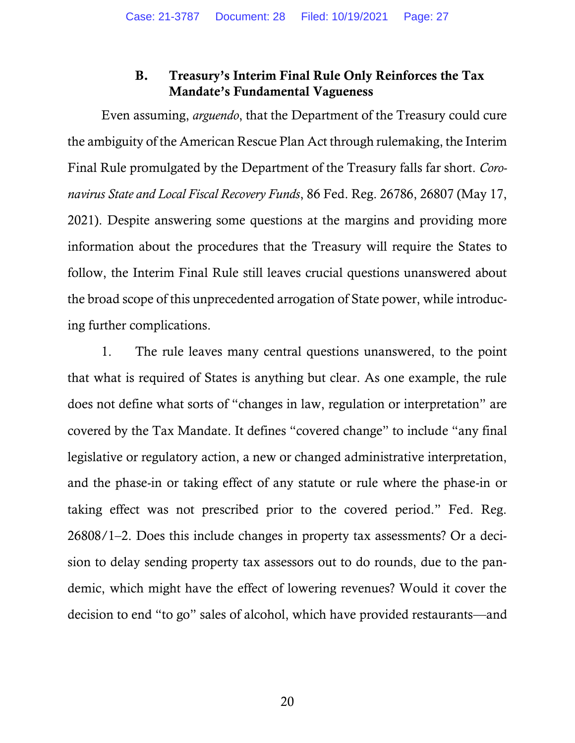## B. Treasury's Interim Final Rule Only Reinforces the Tax Mandate's Fundamental Vagueness

Even assuming, *arguendo*, that the Department of the Treasury could cure the ambiguity of the American Rescue Plan Act through rulemaking, the Interim Final Rule promulgated by the Department of the Treasury falls far short. *Coronavirus State and Local Fiscal Recovery Funds*, 86 Fed. Reg. 26786, 26807 (May 17, 2021). Despite answering some questions at the margins and providing more information about the procedures that the Treasury will require the States to follow, the Interim Final Rule still leaves crucial questions unanswered about the broad scope of this unprecedented arrogation of State power, while introducing further complications.

1. The rule leaves many central questions unanswered, to the point that what is required of States is anything but clear. As one example, the rule does not define what sorts of "changes in law, regulation or interpretation" are covered by the Tax Mandate. It defines "covered change" to include "any final legislative or regulatory action, a new or changed administrative interpretation, and the phase-in or taking effect of any statute or rule where the phase-in or taking effect was not prescribed prior to the covered period." Fed. Reg. 26808/1–2. Does this include changes in property tax assessments? Or a decision to delay sending property tax assessors out to do rounds, due to the pandemic, which might have the effect of lowering revenues? Would it cover the decision to end "to go" sales of alcohol, which have provided restaurants—and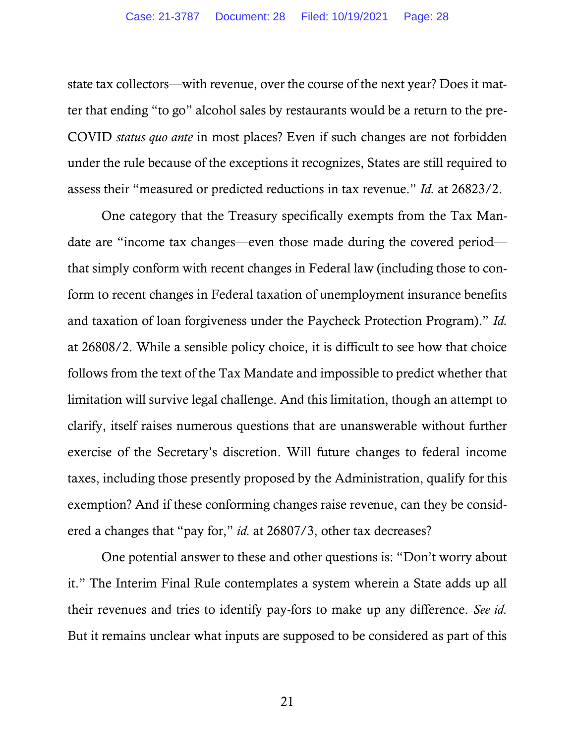state tax collectors—with revenue, over the course of the next year? Does it matter that ending "to go" alcohol sales by restaurants would be a return to the pre-COVID *status quo ante* in most places? Even if such changes are not forbidden under the rule because of the exceptions it recognizes, States are still required to assess their "measured or predicted reductions in tax revenue." *Id.* at 26823/2.

One category that the Treasury specifically exempts from the Tax Mandate are "income tax changes—even those made during the covered period that simply conform with recent changes in Federal law (including those to conform to recent changes in Federal taxation of unemployment insurance benefits and taxation of loan forgiveness under the Paycheck Protection Program)." *Id.* at 26808/2. While a sensible policy choice, it is difficult to see how that choice follows from the text of the Tax Mandate and impossible to predict whether that limitation will survive legal challenge. And this limitation, though an attempt to clarify, itself raises numerous questions that are unanswerable without further exercise of the Secretary's discretion. Will future changes to federal income taxes, including those presently proposed by the Administration, qualify for this exemption? And if these conforming changes raise revenue, can they be considered a changes that "pay for," *id.* at 26807/3, other tax decreases?

One potential answer to these and other questions is: "Don't worry about it." The Interim Final Rule contemplates a system wherein a State adds up all their revenues and tries to identify pay-fors to make up any difference. *See id.* But it remains unclear what inputs are supposed to be considered as part of this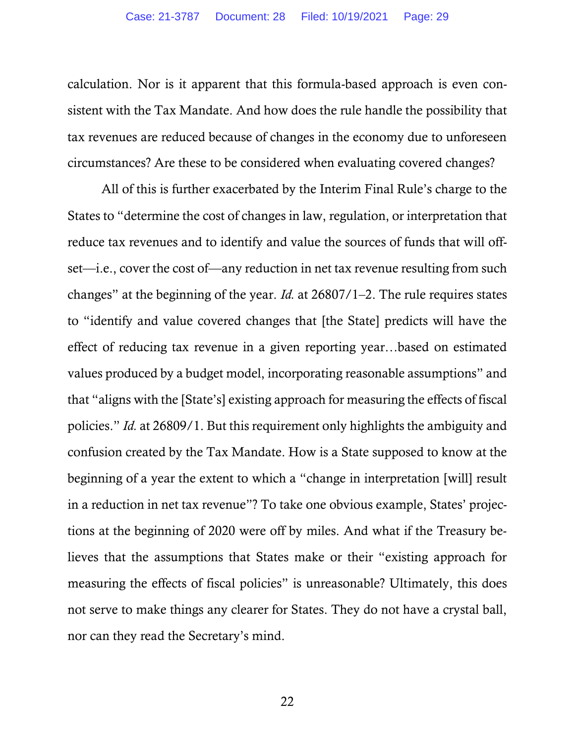calculation. Nor is it apparent that this formula-based approach is even consistent with the Tax Mandate. And how does the rule handle the possibility that tax revenues are reduced because of changes in the economy due to unforeseen circumstances? Are these to be considered when evaluating covered changes?

All of this is further exacerbated by the Interim Final Rule's charge to the States to "determine the cost of changes in law, regulation, or interpretation that reduce tax revenues and to identify and value the sources of funds that will offset—i.e., cover the cost of—any reduction in net tax revenue resulting from such changes" at the beginning of the year. *Id.* at 26807/1–2. The rule requires states to "identify and value covered changes that [the State] predicts will have the effect of reducing tax revenue in a given reporting year…based on estimated values produced by a budget model, incorporating reasonable assumptions" and that "aligns with the [State's] existing approach for measuring the effects of fiscal policies." *Id.* at 26809/1. But this requirement only highlights the ambiguity and confusion created by the Tax Mandate. How is a State supposed to know at the beginning of a year the extent to which a "change in interpretation [will] result in a reduction in net tax revenue"? To take one obvious example, States' projections at the beginning of 2020 were off by miles. And what if the Treasury believes that the assumptions that States make or their "existing approach for measuring the effects of fiscal policies" is unreasonable? Ultimately, this does not serve to make things any clearer for States. They do not have a crystal ball, nor can they read the Secretary's mind.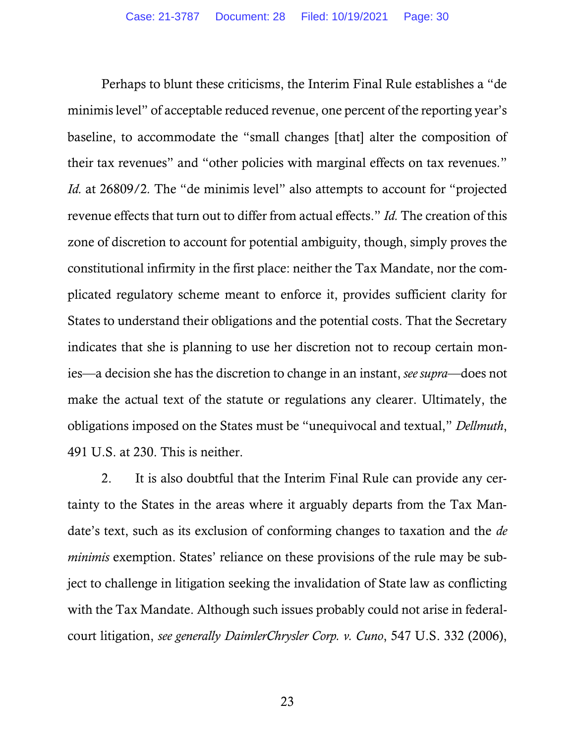Perhaps to blunt these criticisms, the Interim Final Rule establishes a "de minimis level" of acceptable reduced revenue, one percent of the reporting year's baseline, to accommodate the "small changes [that] alter the composition of their tax revenues" and "other policies with marginal effects on tax revenues*.*" *Id.* at 26809/2. The "de minimis level" also attempts to account for "projected revenue effects that turn out to differ from actual effects." *Id.* The creation of this zone of discretion to account for potential ambiguity, though, simply proves the constitutional infirmity in the first place: neither the Tax Mandate, nor the complicated regulatory scheme meant to enforce it, provides sufficient clarity for States to understand their obligations and the potential costs. That the Secretary indicates that she is planning to use her discretion not to recoup certain monies—a decision she has the discretion to change in an instant, *see supra*—does not make the actual text of the statute or regulations any clearer. Ultimately, the obligations imposed on the States must be "unequivocal and textual," *Dellmuth*, 491 U.S. at 230. This is neither.

2. It is also doubtful that the Interim Final Rule can provide any certainty to the States in the areas where it arguably departs from the Tax Mandate's text, such as its exclusion of conforming changes to taxation and the *de minimis* exemption. States' reliance on these provisions of the rule may be subject to challenge in litigation seeking the invalidation of State law as conflicting with the Tax Mandate. Although such issues probably could not arise in federalcourt litigation, *see generally DaimlerChrysler Corp. v. Cuno*, 547 U.S. 332 (2006),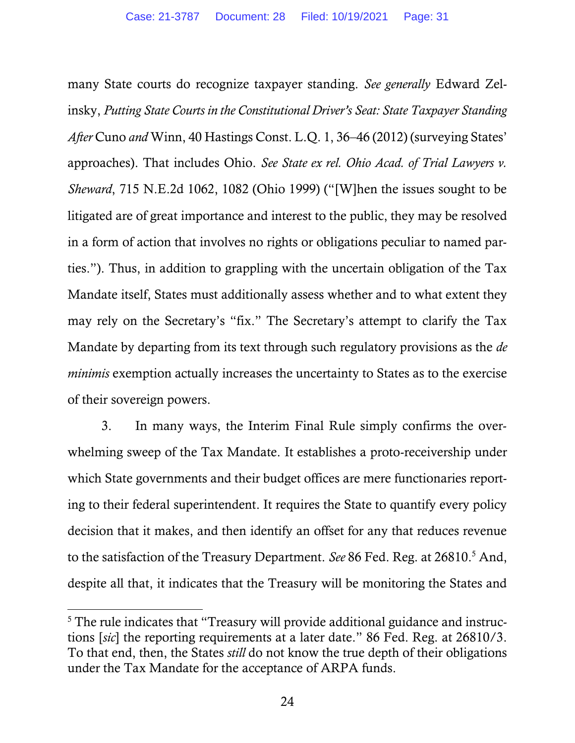many State courts do recognize taxpayer standing. *See generally* Edward Zelinsky, *Putting State Courts in the Constitutional Driver's Seat: State Taxpayer Standing After* Cuno *and* Winn, 40 Hastings Const. L.Q. 1, 36–46 (2012) (surveying States' approaches). That includes Ohio. *See State ex rel. Ohio Acad. of Trial Lawyers v. Sheward*, 715 N.E.2d 1062, 1082 (Ohio 1999) ("[W]hen the issues sought to be litigated are of great importance and interest to the public, they may be resolved in a form of action that involves no rights or obligations peculiar to named parties."). Thus, in addition to grappling with the uncertain obligation of the Tax Mandate itself, States must additionally assess whether and to what extent they may rely on the Secretary's "fix." The Secretary's attempt to clarify the Tax Mandate by departing from its text through such regulatory provisions as the *de minimis* exemption actually increases the uncertainty to States as to the exercise of their sovereign powers.

3. In many ways, the Interim Final Rule simply confirms the overwhelming sweep of the Tax Mandate. It establishes a proto-receivership under which State governments and their budget offices are mere functionaries reporting to their federal superintendent. It requires the State to quantify every policy decision that it makes, and then identify an offset for any that reduces revenue to the satisfaction of the Treasury Department. *See* 86 Fed. Reg. at 26810.<sup>5</sup> And, despite all that, it indicates that the Treasury will be monitoring the States and

<sup>&</sup>lt;sup>5</sup> The rule indicates that "Treasury will provide additional guidance and instructions [*sic*] the reporting requirements at a later date." 86 Fed. Reg. at 26810/3. To that end, then, the States *still* do not know the true depth of their obligations under the Tax Mandate for the acceptance of ARPA funds.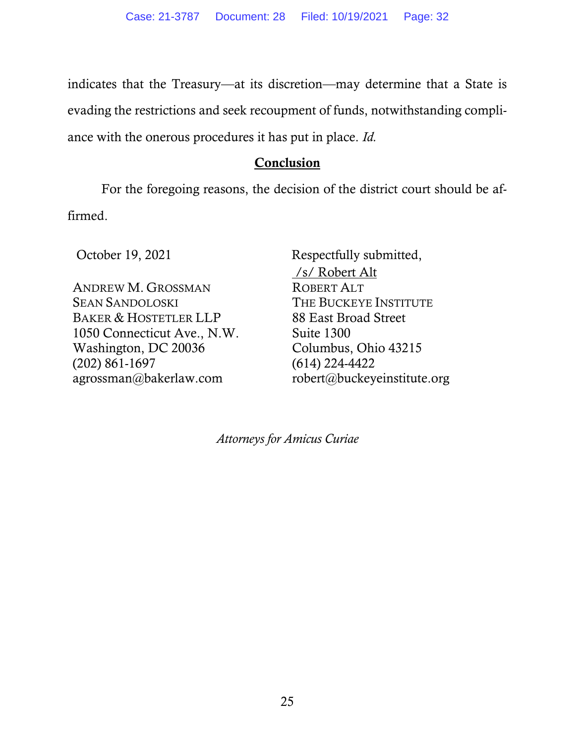indicates that the Treasury—at its discretion—may determine that a State is evading the restrictions and seek recoupment of funds, notwithstanding compliance with the onerous procedures it has put in place. *Id.* 

### **Conclusion**

For the foregoing reasons, the decision of the district court should be affirmed.

ANDREW M. GROSSMAN SEAN SANDOLOSKI BAKER & HOSTETLER LLP 1050 Connecticut Ave., N.W. Washington, DC 20036 (202) 861-1697 agrossman@bakerlaw.com

October 19, 2021 Respectfully submitted, /s/ Robert Alt ROBERT ALT THE BUCKEYE INSTITUTE 88 East Broad Street Suite 1300 Columbus, Ohio 43215 (614) 224-4422 robert@buckeyeinstitute.org

*Attorneys for Amicus Curiae*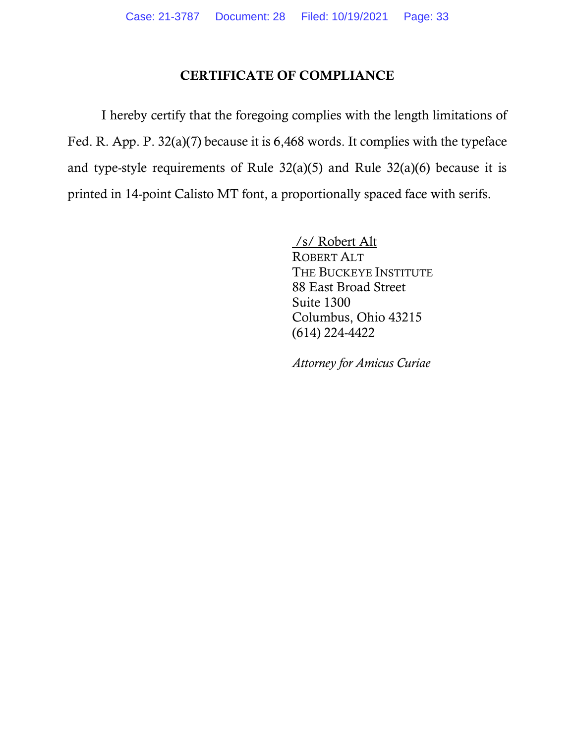# CERTIFICATE OF COMPLIANCE

I hereby certify that the foregoing complies with the length limitations of Fed. R. App. P. 32(a)(7) because it is 6,468 words. It complies with the typeface and type-style requirements of Rule  $32(a)(5)$  and Rule  $32(a)(6)$  because it is printed in 14-point Calisto MT font, a proportionally spaced face with serifs.

> /s/ Robert Alt ROBERT ALT THE BUCKEYE INSTITUTE 88 East Broad Street Suite 1300 Columbus, Ohio 43215 (614) 224-4422

*Attorney for Amicus Curiae*